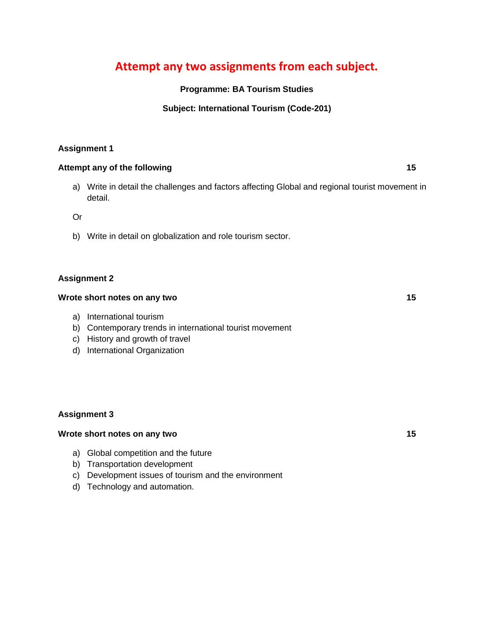# **Attempt any two assignments from each subject.**

## **Programme: BA Tourism Studies**

## **Subject: International Tourism (Code-201)**

## **Assignment 1**

## **Attempt any of the following 15**

a) Write in detail the challenges and factors affecting Global and regional tourist movement in detail.

Or

b) Write in detail on globalization and role tourism sector.

### **Assignment 2**

#### **Wrote short notes on any two 15**

- a) International tourism
- b) Contemporary trends in international tourist movement
- c) History and growth of travel
- d) International Organization

### **Assignment 3**

#### **Wrote short notes on any two 15**

- a) Global competition and the future
- b) Transportation development
- c) Development issues of tourism and the environment
- d) Technology and automation.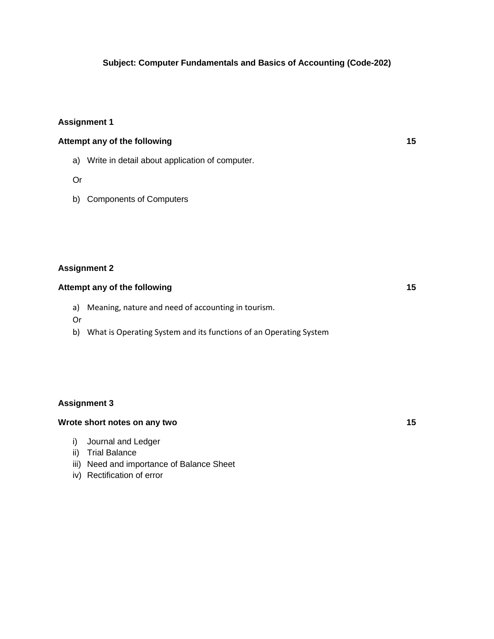### **Subject: Computer Fundamentals and Basics of Accounting (Code-202)**

### **Assignment 1**

# **Attempt any of the following 15**

- a) Write in detail about application of computer.
- Or
- b) Components of Computers

### **Assignment 2**

#### **Attempt any of the following 15**

- a) Meaning, nature and need of accounting in tourism.
- Or
- b) What is Operating System and its functions of an Operating System

#### **Assignment 3**

#### **Wrote short notes on any two 15**

- i) Journal and Ledger
- ii) Trial Balance
- iii) Need and importance of Balance Sheet
- iv) Rectification of error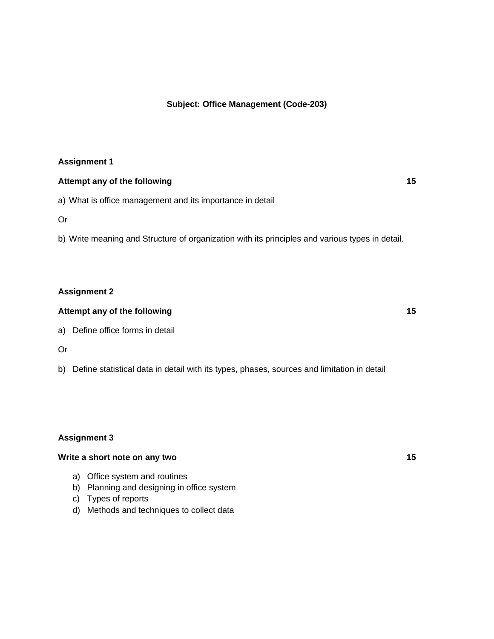#### **Subject: Office Management (Code-203)**

#### **Assignment 1**

#### **Attempt any of the following 15**

a) What is office management and its importance in detail

Or

b) Write meaning and Structure of organization with its principles and various types in detail.

#### **Assignment 2**

## **Attempt any of the following 15**

a) Define office forms in detail

Or

b) Define statistical data in detail with its types, phases, sources and limitation in detail

#### **Assignment 3**

## **Write a short note on any two 15**

- a) Office system and routines
- b) Planning and designing in office system
- c) Types of reports
- d) Methods and techniques to collect data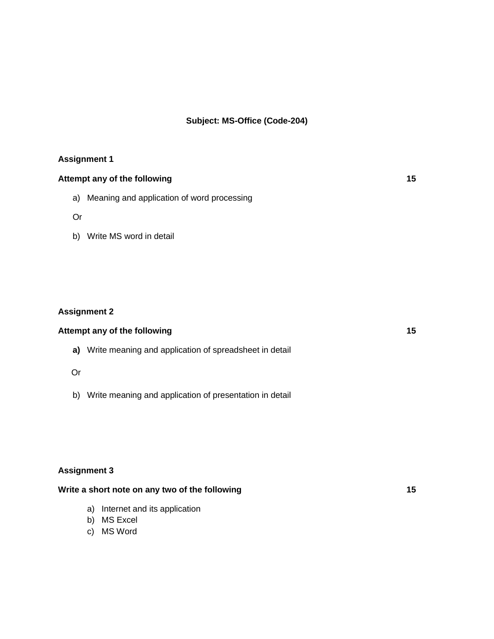## **Subject: MS-Office (Code-204)**

#### **Assignment 1**

# **Attempt any of the following 15**

a) Meaning and application of word processing

Or

b) Write MS word in detail

## **Assignment 2**

# **Attempt any of the following 15**

**a)** Write meaning and application of spreadsheet in detail

## Or

b) Write meaning and application of presentation in detail

## **Assignment 3**

## Write a short note on any two of the following **15**

- a) Internet and its application
- b) MS Excel
- c) MS Word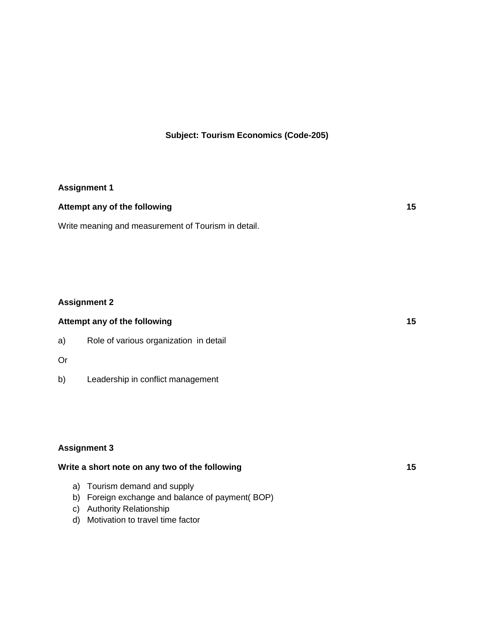# **Subject: Tourism Economics (Code-205)**

# **Assignment 1**

| Attempt any of the following |  |
|------------------------------|--|
|                              |  |

Write meaning and measurement of Tourism in detail.

# **Assignment 2**

| Attempt any of the following |                                        | 15 |
|------------------------------|----------------------------------------|----|
| a)                           | Role of various organization in detail |    |
| Or                           |                                        |    |

b) Leadership in conflict management

## **Assignment 3**

| Write a short note on any two of the following   | 15 |
|--------------------------------------------------|----|
| a) Tourism demand and supply                     |    |
| b) Foreign exchange and balance of payment (BOP) |    |
| c) Authority Relationship                        |    |
| .                                                |    |

d) Motivation to travel time factor